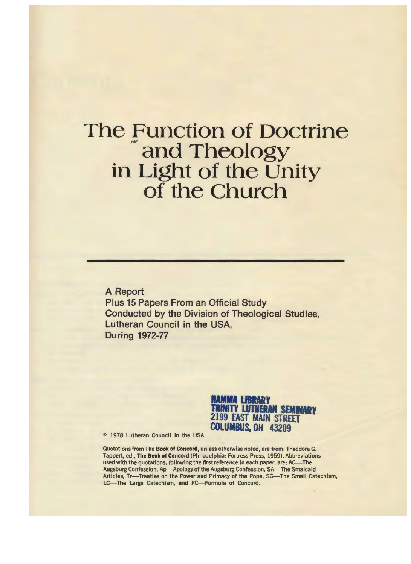### The Function of Doctrine and Theology in Light of the Unity of the Church

A Report Plus 15 Papers From an Official Study Conducted by the Division of Theological Studies, Lutheran Council in the **USA,**  During 1972-77



© 1978 Lutheran Council in the USA

Quotations from The **Book** of Concord, unless otherwise noted, are from: Theodore G. Tappert, ed., The Book of Concord (Philadelphia: Fortress Press, 1959). Abbreviations used with the quotations, following the first reference in each paper, are: AC-The Augsburg Confession, Ap-Apology of the Augsburg Confession, SA-The Smalcald Articles, Tr-Treatise on the Power and Primacy of the Pope, SC-The Small Catechism, LC-The Large Catechism, and FC-Formula of Concord.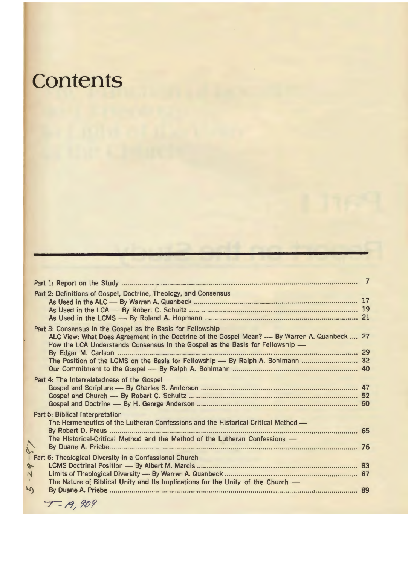## **Contents**

|    | Part 2: Definitions of Gospel, Doctrine, Theology, and Consensus                                                                                                                                                                              |  |
|----|-----------------------------------------------------------------------------------------------------------------------------------------------------------------------------------------------------------------------------------------------|--|
|    | Part 3: Consensus in the Gospel as the Basis for Fellowship<br>ALC View: What Does Agreement in the Doctrine of the Gospel Mean? — By Warren A. Quanbeck  27<br>How the LCA Understands Consensus in the Gospel as the Basis for Fellowship - |  |
|    |                                                                                                                                                                                                                                               |  |
|    | Part 4: The Interrelatedness of the Gospel                                                                                                                                                                                                    |  |
|    | Part 5: Biblical Interpretation<br>The Hermeneutics of the Lutheran Confessions and the Historical-Critical Method -<br>The Historical-Critical Method and the Method of the Lutheran Confessions -                                           |  |
| y. |                                                                                                                                                                                                                                               |  |
| 5  | The Nature of Biblical Unity and Its Implications for the Unity of the Church —                                                                                                                                                               |  |

 $T - 19,909$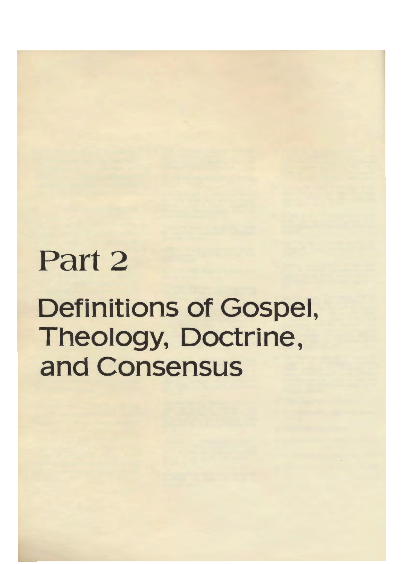# Part 2

## Definitions of Gospel, Theology, Doctrine, and Consensus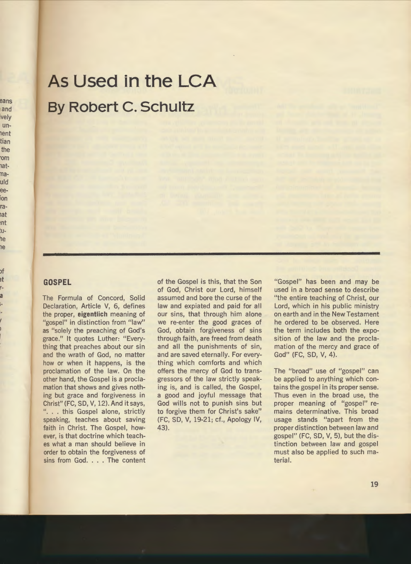### As Used in the LCA **By Robert C. Schultz**

#### **GOSPEL**

The Formula of Concord, Solid Declaration, Article V, 6, defines the proper, eigentlich meaning of "gospel" in distinction from "law" as "solely the preaching of God's grace." It quotes Luther: "Everything that preaches about our sin and the wrath of God, no matter how or when it happens, is the proclamation of the law. On the other hand, the Gospel is a proclamation that shows and gives nothing but grace and forgiveness in Christ" (FC, SD, V, 12). And it says, "... this Gospel alone, strictly speaking, teaches about saving faith in Christ. The Gospel, however, is that doctrine which teaches what a man should believe in order to obtain the forgiveness of sins from God. . . . The content

of the Gospel is this, that the Son of God, Christ our Lord, himself assumed and bore the curse of the law and expiated and paid for all our sins, that through him alone we re-enter the good graces of God, obtain forgiveness of sins through faith, are freed from death and all the punishments of sin, and are saved eternally. For everything which comforts and which offers the mercy of God to transgressors of the law strictly speaking is, and is called, the Gospel, a good and joyful message that God wills not to punish sins but to forgive them for Christ's sake" (FC, SD, V, 19-21; cf., Apology IV, 43).

"Gospel" has been and may be used in a broad sense to describe "the entire teaching of Christ, our Lord, which in his public ministry on earth and in the New Testament he ordered to be observed. Here the term includes both the exposition of the law and the proclamation of the mercy and grace of God" (FC, SD, V, 4).

The "broad" use of "gospel" can be applied to anything which contains the gospel in its proper sense. Thus even in the broad use, the proper meaning of "gospel" remains determinative. This broad usage stands "apart from the proper distinction between law and gospel" (FC, SD, V, 5), but the distinction between law and gospel must also be applied to such material.